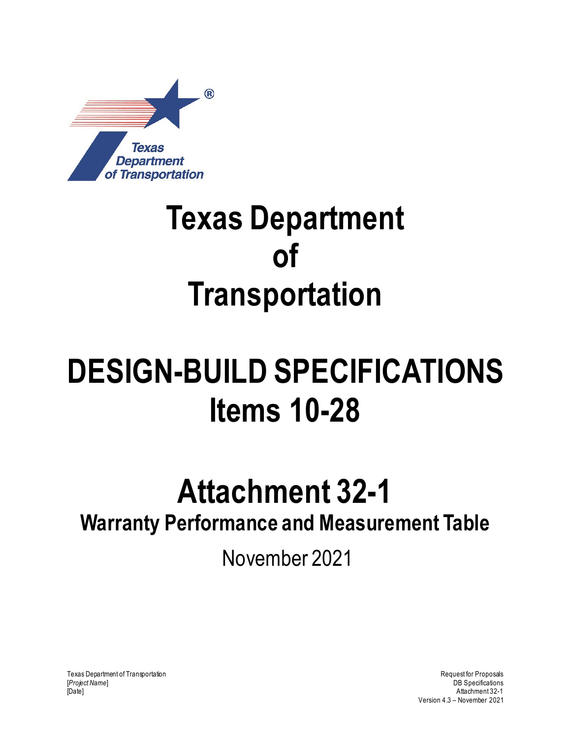

## **Texas Department of Transportation**

# **DESIGN-BUILD SPECIFICATIONS Items 10-28**

### **Attachment 32-1**

### **Warranty Performance and Measurement Table**

November 2021

Texas Department of Transportation and the control of Transportation Request for Proposals [*Project Name*] DB Specifications [Date] Attachment 32-1

Version 4.3 – November 2021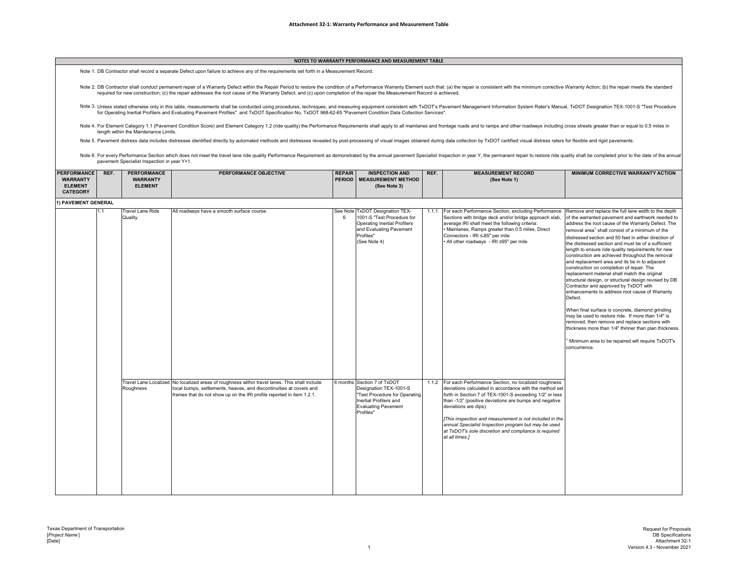### **NOTES TO WARRANTY PERFORMANCE AND MEASUREMENT TABLE**

Note 1. DB Contractor shall record a separate Defect upon failure to achieve any of the requirements set forth in a Measurement Record.

Note 2. DB Contractor shall conduct permanent repair of a Warranty Defect within the Repair Period to restore the condition of a Performance Warranty Element such that: (a) the repair is consistent with the minimum correct required for new construction; (c) the repair addresses the root cause of the Warranty Defect; and (c) upon completion of the repair the Measurement Record is achieved.

Note 3. Unless stated otherwise only in this table, measurements shall be conducted using procedures, techniques, and measuring equipment consistent with TxDOT's Pavement Management Information System Rater's Manual, TxDOT for Operating Inertial Profilers and Evaluating Pavement Profiles" and TxDOT Specification No. TxDOT 968-62-65 "Pavement Condition Data Collection Services".

Note 4. For Element Category 1.1 (Pavement Condition Score) and Element Category 1.2 (ride quality) the Performance Requirements shall apply to all mainlanes and frontage roads and to ramps and other roadways including cro

Note 5. Pavement distress data includes distresses identified directly by automated methods and distresses revealed by post-processing of visual images obtained during data collection by TxDOT certified visual distress rat

Note 6. For every Performance Section which does not meet the travel lane ride quality Performance Requirement as demonstrated by the annual pavement Specialist Inspection in year Y, the permanent repair to restore ride qu pavement Specialist Inspection in year Y+1.

| <b>PERFORMANCE</b><br><b>WARRANTY</b><br><b>ELEMENT</b><br><b>CATEGORY</b> | REF. | <b>PERFORMANCE</b><br><b>WARRANTY</b><br><b>ELEMENT</b> | <b>PERFORMANCE OBJECTIVE</b>                                                                                                                                                                                                                  | <b>REPAIR</b> | <b>INSPECTION AND</b><br>PERIOD   MEASUREMENT METHOD<br>(See Note 3)                                                                                         | REF.  | <b>MEASUREMENT RECORD</b><br>(See Note 1)                                                                                                                                                                                                                                                                                                                                                                                                                        | <b>MINIMUM CORRECTIVE WARRANTY ACTION</b>                                                                                                                                                                                                                                                                                                                                                                                                                                                                                                                                                                                                                                                                                                                                                                                                                                                                                                                                                                                                                      |
|----------------------------------------------------------------------------|------|---------------------------------------------------------|-----------------------------------------------------------------------------------------------------------------------------------------------------------------------------------------------------------------------------------------------|---------------|--------------------------------------------------------------------------------------------------------------------------------------------------------------|-------|------------------------------------------------------------------------------------------------------------------------------------------------------------------------------------------------------------------------------------------------------------------------------------------------------------------------------------------------------------------------------------------------------------------------------------------------------------------|----------------------------------------------------------------------------------------------------------------------------------------------------------------------------------------------------------------------------------------------------------------------------------------------------------------------------------------------------------------------------------------------------------------------------------------------------------------------------------------------------------------------------------------------------------------------------------------------------------------------------------------------------------------------------------------------------------------------------------------------------------------------------------------------------------------------------------------------------------------------------------------------------------------------------------------------------------------------------------------------------------------------------------------------------------------|
| 1) PAVEMENT GENERAL                                                        |      |                                                         |                                                                                                                                                                                                                                               |               |                                                                                                                                                              |       |                                                                                                                                                                                                                                                                                                                                                                                                                                                                  |                                                                                                                                                                                                                                                                                                                                                                                                                                                                                                                                                                                                                                                                                                                                                                                                                                                                                                                                                                                                                                                                |
|                                                                            | 1.1  | <b>Travel Lane Ride</b><br>Quality                      | All roadways have a smooth surface course.                                                                                                                                                                                                    | 6             | See Note TxDOT Designation TEX-<br>1001-S "Test Procedure for<br><b>Operating Inertial Profilers</b><br>and Evaluating Pavement<br>Profiles"<br>(See Note 4) | 1.1.1 | For each Performance Section, excluding Performance<br>Sections with bridge deck and/or bridge approach slab,<br>average IRI shall meet the following criteria:<br>· Mainlanes, Ramps greater than 0.5 miles, Direct<br>Connectors - IRI ≤-85" per mile<br>• All other roadways - IRI ≤95" per mile                                                                                                                                                              | Remove and replace the full lane width to the depth<br>of the warranted pavement and earthwork needed to<br>address the root cause of the Warranty Defect. The<br>removal area <sup>1</sup> shall consist of a minimum of the<br>distressed section and 50 feet in either direction of<br>the distressed section and must be of a sufficient<br>length to ensure ride quality requirements for new<br>construction are achieved throughout the removal<br>and replacement area and its tie in to adjacent<br>construction on completion of repair. The<br>replacement material shall match the original<br>structural design, or structural design revised by DB<br>Contractor and approved by TxDOT with<br>enhancements to address root cause of Warranty<br>Defect.<br>When final surface is concrete, diamond grinding<br>may be used to restore ride. If more than 1/4" is<br>removed, then remove and replace sections with<br>thickness more than 1/4" thinner than plan thickness.<br>Minimum area to be repaired will require TxDOT's<br>concurrence. |
|                                                                            |      | Roughness                                               | Travel Lane Localized No localized areas of roughness within travel lanes. This shall include<br>local bumps, settlements, heaves, and discontinuities at covers and<br>frames that do not show up on the IRI profile reported in item 1.2.1. |               | 6 months Section 7 of TxDOT<br>Designation TEX-1001-S<br>"Test Procedure for Operating<br>Inertial Profilers and<br><b>Evaluating Pavement</b><br>Profiles"  |       | 1.1.2 For each Performance Section, no localized roughness<br>deviations calculated in accordance with the method set<br>forth in Section 7 of TEX-1001-S exceeding 1/2" or less<br>than -1/2" (positive deviations are bumps and negative<br>deviations are dips).<br>This inspection and measurement is not included in the<br>annual Specialist Inspection program but may be used<br>at TxDOT's sole discretion and compliance is required<br>at all times.] |                                                                                                                                                                                                                                                                                                                                                                                                                                                                                                                                                                                                                                                                                                                                                                                                                                                                                                                                                                                                                                                                |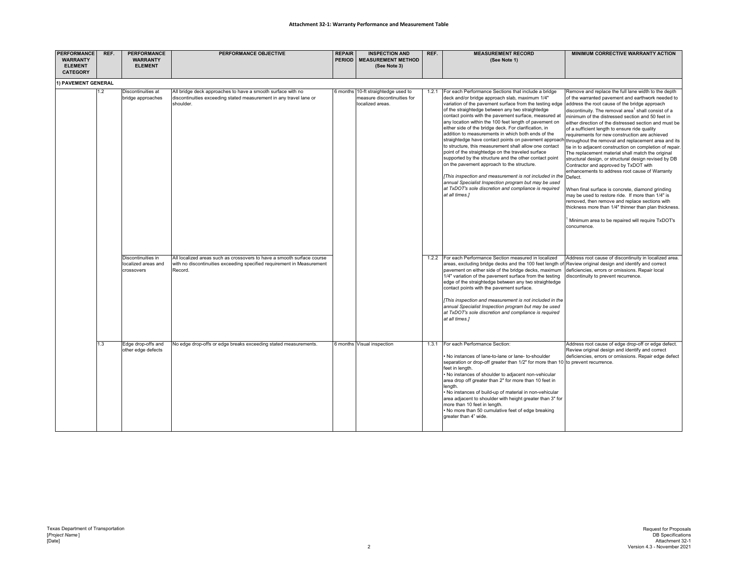| <b>PERFORMANCE</b><br><b>WARRANTY</b><br><b>ELEMENT</b><br><b>CATEGORY</b> | REF. | <b>PERFORMANCE</b><br><b>WARRANTY</b><br><b>ELEMENT</b> | <b>PERFORMANCE OBJECTIVE</b>                                                                                                                                | <b>REPAIR</b><br><b>PERIOD</b> | <b>INSPECTION AND</b><br><b>MEASUREMENT METHOD</b><br>(See Note 3)                     | REF.  | <b>MEASUREMENT RECORD</b><br>(See Note 1)                                                                                                                                                                                                                                                                                                                                                                                                                                                                                                                                                                                                                                                                                                                                                                                                                                                                                                                                          | MINIMUM CORRECTIVE WARRANTY ACTION                                                                                                                                                                                                                                                                                                                                                                                                                                                                                                                                                                                                                                                                                                                                                                                                                                                                                                                                                                                          |
|----------------------------------------------------------------------------|------|---------------------------------------------------------|-------------------------------------------------------------------------------------------------------------------------------------------------------------|--------------------------------|----------------------------------------------------------------------------------------|-------|------------------------------------------------------------------------------------------------------------------------------------------------------------------------------------------------------------------------------------------------------------------------------------------------------------------------------------------------------------------------------------------------------------------------------------------------------------------------------------------------------------------------------------------------------------------------------------------------------------------------------------------------------------------------------------------------------------------------------------------------------------------------------------------------------------------------------------------------------------------------------------------------------------------------------------------------------------------------------------|-----------------------------------------------------------------------------------------------------------------------------------------------------------------------------------------------------------------------------------------------------------------------------------------------------------------------------------------------------------------------------------------------------------------------------------------------------------------------------------------------------------------------------------------------------------------------------------------------------------------------------------------------------------------------------------------------------------------------------------------------------------------------------------------------------------------------------------------------------------------------------------------------------------------------------------------------------------------------------------------------------------------------------|
| 1) PAVEMENT GENERAL                                                        |      |                                                         |                                                                                                                                                             |                                |                                                                                        |       |                                                                                                                                                                                                                                                                                                                                                                                                                                                                                                                                                                                                                                                                                                                                                                                                                                                                                                                                                                                    |                                                                                                                                                                                                                                                                                                                                                                                                                                                                                                                                                                                                                                                                                                                                                                                                                                                                                                                                                                                                                             |
|                                                                            | 1.2  | Discontinuities at<br>bridge approaches                 | All bridge deck approaches to have a smooth surface with no<br>discontinuities exceeding stated measurement in any travel lane or<br>shoulder.              |                                | 6 months 10-ft straightedge used to<br>neasure discontinuities for<br>localized areas. | 1.2.1 | For each Performance Sections that include a bridge<br>deck and/or bridge approach slab, maximum 1/4"<br>variation of the pavement surface from the testing edge address the root cause of the bridge approach<br>of the straightedge between any two straightedge<br>contact points with the pavement surface, measured at<br>any location within the 100 feet length of pavement on<br>either side of the bridge deck. For clarification, in<br>addition to measurements in which both ends of the<br>straightedge have contact points on pavement approacl<br>to structure, this measurement shall allow one contact<br>point of the straightedge on the traveled surface<br>supported by the structure and the other contact point<br>on the pavement approach to the structure.<br>[This inspection and measurement is not included in the<br>annual Specialist Inspection program but may be used<br>at TxDOT's sole discretion and compliance is required<br>at all times.] | Remove and replace the full lane width to the depth<br>of the warranted pavement and earthwork needed to<br>discontinuity. The removal area <sup>1</sup> shall consist of a<br>minimum of the distressed section and 50 feet in<br>either direction of the distressed section and must be<br>of a sufficient length to ensure ride quality<br>requirements for new construction are achieved<br>throughout the removal and replacement area and its<br>tie in to adjacent construction on completion of repair.<br>The replacement material shall match the original<br>structural design, or structural design revised by DB<br>Contractor and approved by TxDOT with<br>enhancements to address root cause of Warranty<br>Defect.<br>When final surface is concrete, diamond grinding<br>may be used to restore ride. If more than 1/4" is<br>removed, then remove and replace sections with<br>thickness more than 1/4" thinner than plan thickness.<br>Minimum area to be repaired will require TxDOT's<br>concurrence. |
|                                                                            |      | Discontinuities in<br>localized areas and<br>crossovers | All localized areas such as crossovers to have a smooth surface course<br>with no discontinuities exceeding specified requirement in Measurement<br>Record. |                                |                                                                                        |       | 1.2.2 For each Performance Section measured in localized<br>areas, excluding bridge decks and the 100 feet length of Review original design and identify and correct<br>pavement on either side of the bridge decks, maximum<br>1/4" variation of the pavement surface from the testing<br>edge of the straightedge between any two straightedge<br>contact points with the pavement surface.<br>[This inspection and measurement is not included in the<br>annual Specialist Inspection program but may be used<br>at TxDOT's sole discretion and compliance is required<br>at all times.]                                                                                                                                                                                                                                                                                                                                                                                        | Address root cause of discontinuity in localized area.<br>deficiencies, errors or omissions. Repair local<br>discontinuity to prevent recurrence.                                                                                                                                                                                                                                                                                                                                                                                                                                                                                                                                                                                                                                                                                                                                                                                                                                                                           |
|                                                                            | 1.3  | Edge drop-offs and<br>other edge defects                | No edge drop-offs or edge breaks exceeding stated measurements.                                                                                             |                                | 6 months Visual inspection                                                             | 1.3.1 | For each Performance Section:<br>No instances of lane-to-lane or lane- to-shoulder<br>separation or drop-off greater than 1/2" for more than 10 to prevent recurrence.<br>feet in length.<br>. No instances of shoulder to adjacent non-vehicular<br>area drop off greater than 2" for more than 10 feet in<br>lenath.<br>No instances of build-up of material in non-vehicular<br>area adjacent to shoulder with height greater than 3" for<br>more than 10 feet in length.<br>No more than 50 cumulative feet of edge breaking<br>greater than 4" wide.                                                                                                                                                                                                                                                                                                                                                                                                                          | Address root cause of edge drop-off or edge defect.<br>Review original design and identify and correct<br>deficiencies, errors or omissions. Repair edge defect                                                                                                                                                                                                                                                                                                                                                                                                                                                                                                                                                                                                                                                                                                                                                                                                                                                             |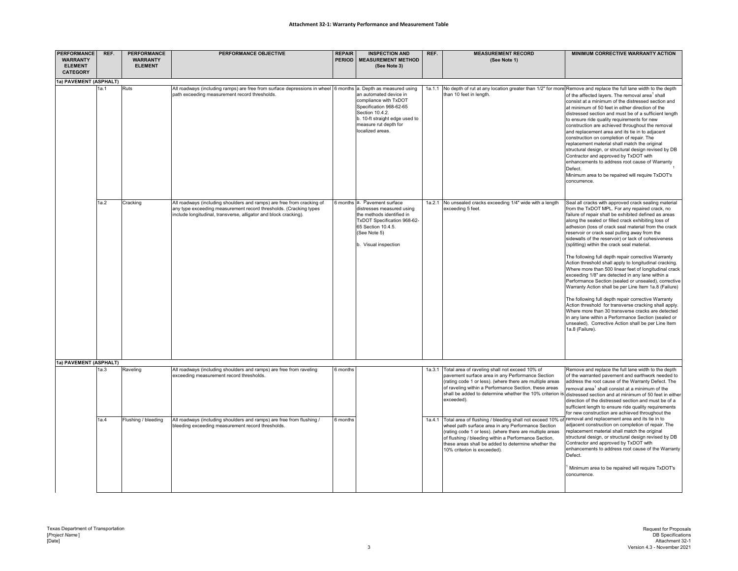### **Attachment 32‐1: Warranty Performance and Measurement Table**

| <b>PERFORMANCE</b><br><b>WARRANTY</b><br><b>ELEMENT</b><br><b>CATEGORY</b> | REF. | <b>PERFORMANCE</b><br><b>WARRANTY</b><br><b>ELEMENT</b> | <b>PERFORMANCE OBJECTIVE</b>                                                                                                                                                                                    | <b>REPAIR</b><br><b>PERIOD</b> | <b>INSPECTION AND</b><br><b>MEASUREMENT METHOD</b><br>(See Note 3)                                                                                                                  | REF.   | <b>MEASUREMENT RECORD</b><br>(See Note 1)                                                                                                                                                                                                                                                                                                                                | MINIMUM CORRECTIVE WARRANTY ACTION                                                                                                                                                                                                                                                                                                                                                                                                                                                                                                                                                                                                                                                                                                                                                                                                                                                                                                                                                                                                                                                         |
|----------------------------------------------------------------------------|------|---------------------------------------------------------|-----------------------------------------------------------------------------------------------------------------------------------------------------------------------------------------------------------------|--------------------------------|-------------------------------------------------------------------------------------------------------------------------------------------------------------------------------------|--------|--------------------------------------------------------------------------------------------------------------------------------------------------------------------------------------------------------------------------------------------------------------------------------------------------------------------------------------------------------------------------|--------------------------------------------------------------------------------------------------------------------------------------------------------------------------------------------------------------------------------------------------------------------------------------------------------------------------------------------------------------------------------------------------------------------------------------------------------------------------------------------------------------------------------------------------------------------------------------------------------------------------------------------------------------------------------------------------------------------------------------------------------------------------------------------------------------------------------------------------------------------------------------------------------------------------------------------------------------------------------------------------------------------------------------------------------------------------------------------|
| 1a) PAVEMENT (ASPHALT)                                                     |      |                                                         |                                                                                                                                                                                                                 |                                |                                                                                                                                                                                     |        |                                                                                                                                                                                                                                                                                                                                                                          |                                                                                                                                                                                                                                                                                                                                                                                                                                                                                                                                                                                                                                                                                                                                                                                                                                                                                                                                                                                                                                                                                            |
|                                                                            |      | Ruts                                                    | All roadways (including ramps) are free from surface depressions in wheel 6 months a. Depth as measured using<br>path exceeding measurement record thresholds.                                                  |                                | an automated device in<br>compliance with TxDOT<br>Specification 968-62-65<br>Section 10.4.2.<br>b. 10-ft straight edge used to<br>measure rut depth for<br>localized areas.        | 1a.1.1 | No depth of rut at any location greater than 1/2" for more Remove and replace the full lane width to the depth<br>than 10 feet in length.                                                                                                                                                                                                                                | of the affected lavers. The removal area <sup>1</sup> shall<br>consist at a minimum of the distressed section and<br>at minimum of 50 feet in either direction of the<br>distressed section and must be of a sufficient length<br>to ensure ride quality requirements for new<br>construction are achieved throughout the removal<br>and replacement area and its tie in to adjacent<br>construction on completion of repair. The<br>replacement material shall match the original<br>structural design, or structural design revised by DB<br>Contractor and approved by TxDOT with<br>enhancements to address root cause of Warranty<br>Defect.<br>Minimum area to be repaired will require TxDOT's<br>concurrence.                                                                                                                                                                                                                                                                                                                                                                      |
|                                                                            | 1a.2 | Cracking                                                | All roadways (including shoulders and ramps) are free from cracking of<br>any type exceeding measurement record thresholds. (Cracking types<br>include longitudinal, transverse, alligator and block cracking). |                                | 6 months a. Pavement surface<br>distresses measured using<br>the methods identified in<br>TxDOT Specification 968-62-<br>65 Section 10.4.5.<br>(See Note 5)<br>b. Visual inspection |        | 1a.2.1 No unsealed cracks exceeding 1/4" wide with a length<br>exceeding 5 feet.                                                                                                                                                                                                                                                                                         | Seal all cracks with approved crack sealing material<br>from the TxDOT MPL. For any repaired crack, no<br>failure of repair shall be exhibited defined as areas<br>along the sealed or filled crack exhibiting loss of<br>adhesion (loss of crack seal material from the crack<br>reservoir or crack seal pulling away from the<br>sidewalls of the reservoir) or lack of cohesiveness<br>(splitting) within the crack seal material.<br>The following full depth repair corrective Warranty<br>Action threshold shall apply to longitudinal cracking.<br>Where more than 500 linear feet of longitudinal crack<br>exceeding 1/8" are detected in any lane within a<br>Performance Section (sealed or unsealed), corrective<br>Warranty Action shall be per Line Item 1a.8 (Failure)<br>The following full depth repair corrective Warranty<br>Action threshold for transverse cracking shall apply.<br>Where more than 30 transverse cracks are detected<br>in any lane within a Performance Section (sealed or<br>unsealed), Corrective Action shall be per Line Item<br>1a.8 (Failure). |
| 1a) PAVEMENT (ASPHALT)                                                     |      |                                                         |                                                                                                                                                                                                                 |                                |                                                                                                                                                                                     |        |                                                                                                                                                                                                                                                                                                                                                                          |                                                                                                                                                                                                                                                                                                                                                                                                                                                                                                                                                                                                                                                                                                                                                                                                                                                                                                                                                                                                                                                                                            |
|                                                                            | a.3  | Raveling                                                | All roadways (including shoulders and ramps) are free from raveling<br>exceeding measurement record thresholds.                                                                                                 | 6 months                       |                                                                                                                                                                                     | 1a.3.1 | Total area of raveling shall not exceed 10% of<br>pavement surface area in any Performance Section<br>(rating code 1 or less). (where there are multiple areas<br>of raveling within a Performance Section, these areas<br>shall be added to determine whether the 10% criterion is distressed section and at minimum of 50 feet in either<br>exceeded).                 | Remove and replace the full lane width to the depth<br>of the warranted pavement and earthwork needed to<br>address the root cause of the Warranty Defect. The<br>emoval area <sup>1</sup> shall consist at a minimum of the<br>direction of the distressed section and must be of a<br>sufficient length to ensure ride quality requirements<br>for new construction are achieved throughout the                                                                                                                                                                                                                                                                                                                                                                                                                                                                                                                                                                                                                                                                                          |
|                                                                            | 1a.4 | Flushing / bleeding                                     | All roadways (including shoulders and ramps) are free from flushing /<br>bleeding exceeding measurement record thresholds.                                                                                      | 6 months                       |                                                                                                                                                                                     | 1a.4.1 | Total area of flushing / bleeding shall not exceed 10% of removal and replacement area and its tie in to<br>wheel path surface area in any Performance Section<br>(rating code 1 or less). (where there are multiple areas<br>of flushing / bleeding within a Performance Section,<br>these areas shall be added to determine whether the<br>10% criterion is exceeded). | adjacent construction on completion of repair. The<br>replacement material shall match the original<br>structural design, or structural design revised by DB<br>Contractor and approved by TxDOT with<br>enhancements to address root cause of the Warranty<br>Defect.<br>Minimum area to be repaired will require TxDOT's<br>concurrence.                                                                                                                                                                                                                                                                                                                                                                                                                                                                                                                                                                                                                                                                                                                                                 |
|                                                                            |      |                                                         |                                                                                                                                                                                                                 |                                |                                                                                                                                                                                     |        |                                                                                                                                                                                                                                                                                                                                                                          |                                                                                                                                                                                                                                                                                                                                                                                                                                                                                                                                                                                                                                                                                                                                                                                                                                                                                                                                                                                                                                                                                            |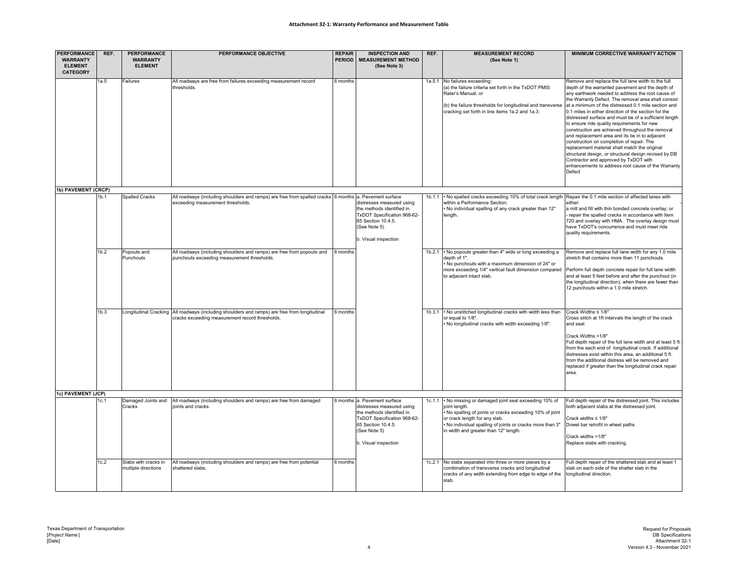| <b>PERFORMANCE</b><br><b>WARRANTY</b> | REF.             | <b>PERFORMANCE</b><br><b>WARRANTY</b>       | <b>PERFORMANCE OBJECTIVE</b>                                                                                                                     | <b>REPAIR</b><br><b>PERIOD</b> | <b>INSPECTION AND</b><br><b>MEASUREMENT METHOD</b>                                                                                                  | REF.   | <b>MEASUREMENT RECORD</b><br>(See Note 1)                                                                                                                                                                                    | <b>MINIMUM CORRECTIVE WARRANTY ACTION</b>                                                                                                                                                                                                                                                                                                                                                                                                                                                                                                                                                                                                                                                                                                                                                                        |
|---------------------------------------|------------------|---------------------------------------------|--------------------------------------------------------------------------------------------------------------------------------------------------|--------------------------------|-----------------------------------------------------------------------------------------------------------------------------------------------------|--------|------------------------------------------------------------------------------------------------------------------------------------------------------------------------------------------------------------------------------|------------------------------------------------------------------------------------------------------------------------------------------------------------------------------------------------------------------------------------------------------------------------------------------------------------------------------------------------------------------------------------------------------------------------------------------------------------------------------------------------------------------------------------------------------------------------------------------------------------------------------------------------------------------------------------------------------------------------------------------------------------------------------------------------------------------|
| <b>ELEMENT</b><br><b>CATEGORY</b>     |                  | <b>ELEMENT</b>                              |                                                                                                                                                  |                                | (See Note 3)                                                                                                                                        |        |                                                                                                                                                                                                                              |                                                                                                                                                                                                                                                                                                                                                                                                                                                                                                                                                                                                                                                                                                                                                                                                                  |
|                                       | 1a.5             | Failures                                    | All roadways are free from failures exceeding measurement record<br>thresholds.                                                                  | 6 months                       |                                                                                                                                                     |        | 1a.5.1 No failures exceeding:<br>(a) the failure criteria set forth in the TxDOT PMIS<br>Rater's Manual: or<br>(b) the failure thresholds for longitudinal and transverse<br>cracking set forth in line items 1a.2 and 1a.3. | Remove and replace the full lane width to the full<br>depth of the warranted pavement and the depth of<br>any earthwork needed to address the root cause of<br>the Warranty Defect. The removal area shall consist<br>at a minimum of the distressed 0.1 mile section and<br>0.1 miles in either direction of the section for the<br>distressed surface and must be of a sufficient length<br>to ensure ride quality requirements for new<br>construction are achieved throughout the removal<br>and replacement area and its tie in to adjacent<br>construction on completion of repair. The<br>replacement material shall match the original<br>structural design, or structural design revised by DB<br>Contractor and approved by TxDOT with<br>enhancements to address root cause of the Warranty<br>Defect |
| 1b) PAVEMENT (CRCP)                   | 1 <sub>b.1</sub> | <b>Spalled Cracks</b>                       | All roadways (including shoulders and ramps) are free from spalled cracks 6 months a. Pavement surface                                           |                                |                                                                                                                                                     | 1b.1.1 | . No spalled cracks exceeding 10% of total crack length Repair the 0.1 mile section of affected lanes with                                                                                                                   |                                                                                                                                                                                                                                                                                                                                                                                                                                                                                                                                                                                                                                                                                                                                                                                                                  |
|                                       |                  |                                             | exceeding measurement thresholds.                                                                                                                |                                | distresses measured using<br>the methods identified in<br>TxDOT Specification 968-62-<br>65 Section 10.4.5.<br>(See Note 5)<br>b. Visual inspection |        | within a Performance Section.<br>No individual spalling of any crack greater than 12"<br>length.                                                                                                                             | either:<br>a mill and fill with thin bonded concrete overlay; or<br>repair the spalled cracks in accordance with Item<br>720 and overlay with HMA. The overlay design must<br>have TxDOT's concurrence and must meet ride<br>quality requirements.                                                                                                                                                                                                                                                                                                                                                                                                                                                                                                                                                               |
|                                       | 1b.2             | Popouts and<br>Punchouts                    | All roadways (including shoulders and ramps) are free from popouts and<br>punchouts exceeding measurement thresholds.                            | 6 months                       |                                                                                                                                                     |        | 1b.2.1 • No popouts greater than 4" wide or long exceeding a<br>depth of 1".<br>No punchouts with a maximum dimension of 24" or<br>more exceeding 1/4" vertical fault dimension compared<br>to adjacent intact slab.         | Remove and replace full lane width for any 1.0 mile<br>stretch that contains more than 11 punchouts.<br>Perform full depth concrete repair for full lane width<br>and at least 5 feet before and after the punchout (in<br>the longitudinal direction), when there are fewer than<br>12 punchouts within a 1.0 mile stretch.                                                                                                                                                                                                                                                                                                                                                                                                                                                                                     |
| 1c) PAVEMENT (JCP)                    | 1 <sub>b.3</sub> |                                             | Longitudinal Cracking All roadways (including shoulders and ramps) are free from longitudinal<br>cracks exceeding measurement record thresholds. | 6 months                       |                                                                                                                                                     |        | 1b.3.1 • No unstitched longitudinal cracks with width less than<br>or equal to 1/8".<br>. No longitudinal cracks with width exceeding 1/8".                                                                                  | Crack Widths ≤ 1/8"<br>Cross stitch at 1ft intervals the length of the crack<br>and seal.<br>Crack Widths >1/8"<br>Full depth repair of the full lane width and at least 5 ft.<br>from the each end of longitudinal crack. If additional<br>distresses exist within this area, an additional 5 ft.<br>from the additional distress will be removed and<br>replaced if greater than the longitudinal crack repair<br>area.                                                                                                                                                                                                                                                                                                                                                                                        |
|                                       | 1c.1             |                                             | Damaged Joints and All roadways (including shoulders and ramps) are free from damaged                                                            |                                | 6 months a. Pavement surface                                                                                                                        |        | 1c.1.1 • No missing or damaged joint seal exceeding 10% of                                                                                                                                                                   | Full depth repair of the distressed joint. This includes                                                                                                                                                                                                                                                                                                                                                                                                                                                                                                                                                                                                                                                                                                                                                         |
|                                       |                  | Cracks                                      | joints and cracks.                                                                                                                               |                                | distresses measured using<br>the methods identified in<br>TxDOT Specification 968-62-<br>65 Section 10.4.5.<br>(See Note 5)<br>b. Visual inspection |        | joint length.<br>No spalling of joints or cracks exceeding 10% of joint<br>or crack length for any slab.<br>No individual spalling of joints or cracks more than 3"<br>in width and greater than 12" length.                 | both adjacent slabs at the distressed joint.<br>Crack widths ≤ 1/8"<br>Dowel bar retrofit in wheel paths<br>Crack widths >1/8"<br>Replace slabs with cracking.                                                                                                                                                                                                                                                                                                                                                                                                                                                                                                                                                                                                                                                   |
|                                       | 1c.2             | Slabs with cracks in<br>multiple directions | All roadways (including shoulders and ramps) are free from potential<br>shattered slabs.                                                         | 6 months                       |                                                                                                                                                     |        | 1c.2.1 No slabs separated into three or more pieces by a<br>combination of transverse cracks and longitudinal<br>cracks of any width extending from edge to edge of the<br>slab.                                             | Full depth repair of the shattered slab and at least 1<br>slab on each side of the shatter slab in the<br>longitudinal direction.                                                                                                                                                                                                                                                                                                                                                                                                                                                                                                                                                                                                                                                                                |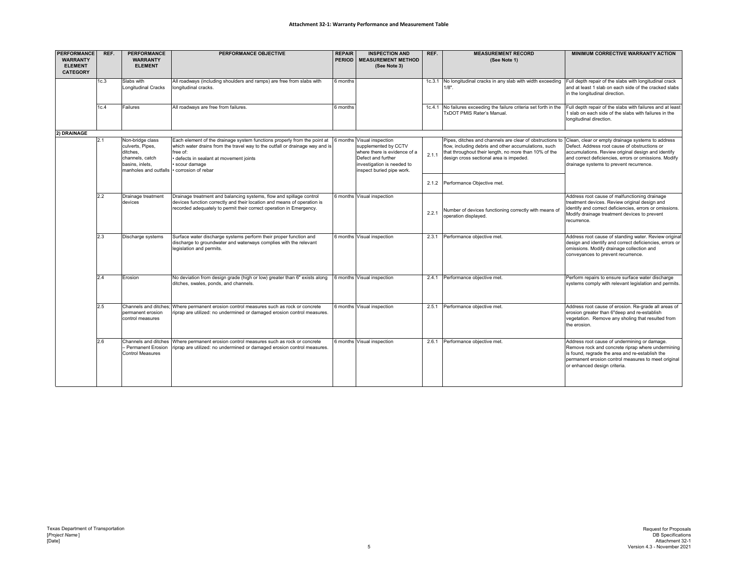### **Attachment 32‐1: Warranty Performance and Measurement Table**

| <b>PERFORMANCE</b><br><b>WARRANTY</b> | REF. | <b>PERFORMANCE</b><br><b>WARRANTY</b>          | PERFORMANCE OBJECTIVE                                                                                                                  | <b>REPAIR</b><br><b>PERIOD</b> | <b>INSPECTION AND</b><br><b>MEASUREMENT METHOD</b> | REF.  | <b>MEASUREMENT RECORD</b>                                                                        | <b>MINIMUM CORRECTIVE WARRANTY ACTION</b>                                                                       |
|---------------------------------------|------|------------------------------------------------|----------------------------------------------------------------------------------------------------------------------------------------|--------------------------------|----------------------------------------------------|-------|--------------------------------------------------------------------------------------------------|-----------------------------------------------------------------------------------------------------------------|
| <b>ELEMENT</b>                        |      | <b>ELEMENT</b>                                 |                                                                                                                                        |                                | (See Note 3)                                       |       | (See Note 1)                                                                                     |                                                                                                                 |
| <b>CATEGORY</b>                       |      |                                                |                                                                                                                                        |                                |                                                    |       |                                                                                                  |                                                                                                                 |
|                                       | 1c.3 | Slabs with<br><b>Longitudinal Cracks</b>       | All roadways (including shoulders and ramps) are free from slabs with<br>ongitudinal cracks.                                           | 6 months                       |                                                    |       | 1c.3.1 No longitudinal cracks in any slab with width exceeding<br>$1/8"$ .                       | Full depth repair of the slabs with longitudinal crack<br>and at least 1 slab on each side of the cracked slabs |
|                                       |      |                                                |                                                                                                                                        |                                |                                                    |       |                                                                                                  | in the longitudinal direction.                                                                                  |
|                                       |      |                                                |                                                                                                                                        |                                |                                                    |       |                                                                                                  |                                                                                                                 |
|                                       | 1c.4 | Failures                                       | All roadways are free from failures.                                                                                                   | 6 months                       |                                                    |       | 1c.4.1 No failures exceeding the failure criteria set forth in the<br>TxDOT PMIS Rater's Manual. | Full depth repair of the slabs with failures and at leas<br>slab on each side of the slabs with failures in the |
|                                       |      |                                                |                                                                                                                                        |                                |                                                    |       |                                                                                                  | longitudinal direction.                                                                                         |
| 2) DRAINAGE                           |      |                                                |                                                                                                                                        |                                |                                                    |       |                                                                                                  |                                                                                                                 |
|                                       | 2.1  | Non-bridge class                               | Each element of the drainage system functions properly from the point at                                                               |                                | 6 months Visual inspection                         |       | Pipes, ditches and channels are clear of obstructions to                                         | Clean, clear or empty drainage systems to address                                                               |
|                                       |      | culverts, Pipes,                               | which water drains from the travel way to the outfall or drainage way and is                                                           |                                | supplemented by CCTV                               |       | flow, including debris and other accumulations, such                                             | Defect. Address root cause of obstructions or                                                                   |
|                                       |      | ditches,<br>channels, catch                    | free of:<br>defects in sealant at movement joints                                                                                      |                                | where there is evidence of a<br>Defect and further | 2.1.1 | that throughout their length, no more than 10% of the<br>design cross sectional area is impeded. | accumulations. Review original design and identify<br>and correct deficiencies, errors or omissions. Modify     |
|                                       |      | basins, inlets.                                | scour damage                                                                                                                           |                                | investigation is needed to                         |       |                                                                                                  | drainage systems to prevent recurrence.                                                                         |
|                                       |      | manholes and outfalls • corrosion of rebar     |                                                                                                                                        |                                | inspect buried pipe work.                          |       |                                                                                                  |                                                                                                                 |
|                                       |      |                                                |                                                                                                                                        |                                |                                                    | 2.1.2 | Performance Objective met.                                                                       |                                                                                                                 |
|                                       | 2.2  | Drainage treatment                             | Drainage treatment and balancing systems, flow and spillage control                                                                    |                                | 6 months Visual inspection                         |       |                                                                                                  | Address root cause of malfunctioning drainage                                                                   |
|                                       |      | devices                                        | devices function correctly and their location and means of operation is                                                                |                                |                                                    |       |                                                                                                  | treatment devices. Review original design and                                                                   |
|                                       |      |                                                | recorded adequately to permit their correct operation in Emergency.                                                                    |                                |                                                    | 2.2.1 | Number of devices functioning correctly with means of                                            | identify and correct deficiencies, errors or omissions.<br>Modify drainage treatment devices to prevent         |
|                                       |      |                                                |                                                                                                                                        |                                |                                                    |       | operation displayed.                                                                             | recurrence.                                                                                                     |
|                                       |      |                                                |                                                                                                                                        |                                |                                                    |       |                                                                                                  |                                                                                                                 |
|                                       | 2.3  | Discharge systems                              | Surface water discharge systems perform their proper function and<br>discharge to groundwater and waterways complies with the relevant |                                | 6 months Visual inspection                         |       | 2.3.1 Performance objective met                                                                  | Address root cause of standing water. Review origina<br>design and identify and correct deficiencies, errors or |
|                                       |      |                                                | legislation and permits.                                                                                                               |                                |                                                    |       |                                                                                                  | omissions. Modify drainage collection and                                                                       |
|                                       |      |                                                |                                                                                                                                        |                                |                                                    |       |                                                                                                  | conveyances to prevent recurrence.                                                                              |
|                                       |      |                                                |                                                                                                                                        |                                |                                                    |       |                                                                                                  |                                                                                                                 |
|                                       | 2.4  | Erosion                                        | No deviation from design grade (high or low) greater than 6" exists along                                                              |                                | 6 months Visual inspection                         | 2.4.1 | Performance objective met.                                                                       | Perform repairs to ensure surface water discharge                                                               |
|                                       |      |                                                | ditches, swales, ponds, and channels.                                                                                                  |                                |                                                    |       |                                                                                                  | systems comply with relevant legislation and permits.                                                           |
|                                       |      |                                                |                                                                                                                                        |                                |                                                    |       |                                                                                                  |                                                                                                                 |
|                                       | 2.5  | Channels and ditches;                          | Where permanent erosion control measures such as rock or concrete                                                                      |                                | 6 months Visual inspection                         | 2.5.1 | Performance objective met.                                                                       | Address root cause of erosion. Re-grade all areas of                                                            |
|                                       |      | permanent erosion                              | iprap are utilized: no undermined or damaged erosion control measures.                                                                 |                                |                                                    |       |                                                                                                  | erosion greater than 6"deep and re-establish                                                                    |
|                                       |      | control measures                               |                                                                                                                                        |                                |                                                    |       |                                                                                                  | vegetation. Remove any sholing that resulted from<br>the erosion.                                               |
|                                       |      |                                                |                                                                                                                                        |                                |                                                    |       |                                                                                                  |                                                                                                                 |
|                                       | 2.6  |                                                | Channels and ditches Where permanent erosion control measures such as rock or concrete                                                 |                                | 6 months Visual inspection                         | 2.6.1 | Performance objective met                                                                        | Address root cause of undermining or damage.                                                                    |
|                                       |      | - Permanent Erosion<br><b>Control Measures</b> | riprap are utilized: no undermined or damaged erosion control measures.                                                                |                                |                                                    |       |                                                                                                  | Remove rock and concrete riprap where undermining<br>is found, regrade the area and re-establish the            |
|                                       |      |                                                |                                                                                                                                        |                                |                                                    |       |                                                                                                  | permanent erosion control measures to meet original                                                             |
|                                       |      |                                                |                                                                                                                                        |                                |                                                    |       |                                                                                                  | or enhanced design criteria.                                                                                    |
|                                       |      |                                                |                                                                                                                                        |                                |                                                    |       |                                                                                                  |                                                                                                                 |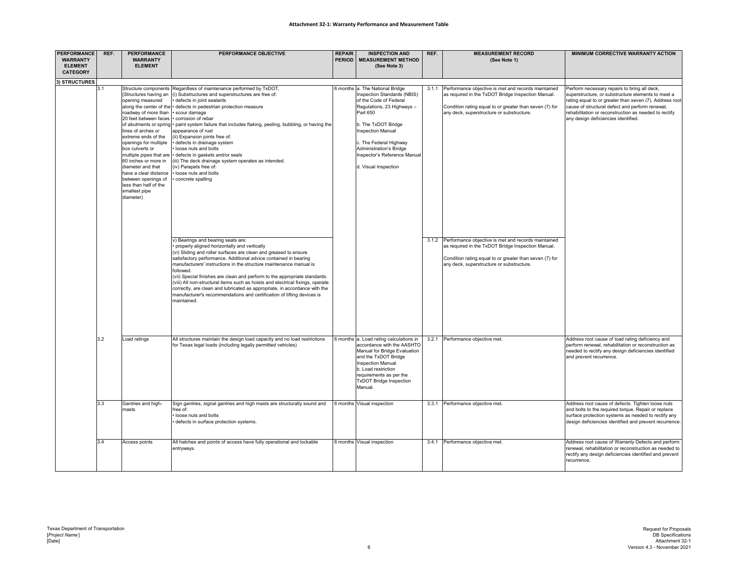| <b>PERFORMANCE</b><br><b>WARRANTY</b><br><b>ELEMENT</b><br><b>CATEGORY</b> | REF. | <b>PERFORMANCE</b><br><b>WARRANTY</b><br><b>ELEMENT</b>                                                                                                                                                                                                                                                                                                            | PERFORMANCE OBJECTIVE                                                                                                                                                                                                                                                                                                                                                                                                                                                                                                                                                                                                                                                                                                                                                                                                                                                                   | <b>REPAIR</b><br><b>PERIOD</b> | <b>INSPECTION AND</b><br><b>MEASUREMENT METHOD</b><br>(See Note 3)                                                                                                                                                                                                                                        | REF.  | <b>MEASUREMENT RECORD</b><br>(See Note 1)                                                                                                                                                                                                                                                                                            | MINIMUM CORRECTIVE WARRANTY ACTION                                                                                                                                                                                                                                                                               |
|----------------------------------------------------------------------------|------|--------------------------------------------------------------------------------------------------------------------------------------------------------------------------------------------------------------------------------------------------------------------------------------------------------------------------------------------------------------------|-----------------------------------------------------------------------------------------------------------------------------------------------------------------------------------------------------------------------------------------------------------------------------------------------------------------------------------------------------------------------------------------------------------------------------------------------------------------------------------------------------------------------------------------------------------------------------------------------------------------------------------------------------------------------------------------------------------------------------------------------------------------------------------------------------------------------------------------------------------------------------------------|--------------------------------|-----------------------------------------------------------------------------------------------------------------------------------------------------------------------------------------------------------------------------------------------------------------------------------------------------------|-------|--------------------------------------------------------------------------------------------------------------------------------------------------------------------------------------------------------------------------------------------------------------------------------------------------------------------------------------|------------------------------------------------------------------------------------------------------------------------------------------------------------------------------------------------------------------------------------------------------------------------------------------------------------------|
|                                                                            |      |                                                                                                                                                                                                                                                                                                                                                                    |                                                                                                                                                                                                                                                                                                                                                                                                                                                                                                                                                                                                                                                                                                                                                                                                                                                                                         |                                |                                                                                                                                                                                                                                                                                                           |       |                                                                                                                                                                                                                                                                                                                                      |                                                                                                                                                                                                                                                                                                                  |
| 3) STRUCTURES                                                              | 3.1  | (Structures having an<br>opening measured<br>roadway of more than<br>20 feet between faces<br>lines of arches or<br>extreme ends of the<br>openings for multiple<br>box culverts or<br>multiple pipes that are<br>60 inches or more in<br>diameter and that<br>have a clear distance<br>between openings of<br>less than half of the<br>smallest pipe<br>diameter) | Structure components Regardless of maintenance performed by TxDOT,<br>(i) Substructures and superstructures are free of:<br>defects in joint sealants<br>along the center of the · defects in pedestrian protection measure<br>scour damage<br>corrosion of rebar<br>of abutments or spring • paint system failure that includes flaking, peeling, bubbling, or having the<br>appearance of rust<br>(ii) Expansion joints free of:<br>defects in drainage system<br>loose nuts and bolts<br>defects in gaskets and/or seals<br>iii) The deck drainage system operates as intended.<br>(iv) Parapets free of:<br>loose nuts and bolts<br>concrete spalling<br>v) Bearings and bearing seats are:<br>properly aligned horizontally and vertically<br>(vi) Sliding and roller surfaces are clean and greased to ensure<br>satisfactory performance. Additional advice contained in bearing |                                | 6 months a. The National Bridge<br>Inspection Standards (NBIS)<br>of the Code of Federal<br>Regulations, 23 Highways -<br>Part 650<br>b. The TxDOT Bridge<br><b>Inspection Manual</b><br>c. The Federal Highway<br><b>Administration's Bridge</b><br>Inspector's Reference Manual<br>d. Visual Inspection | 3.1.1 | Performance objective is met and records maintained<br>as required in the TxDOT Bridge Inspection Manual.<br>Condition rating equal to or greater than seven (7) for<br>any deck, superstructure or substructure.<br>3.1.2 Performance objective is met and records maintained<br>as required in the TxDOT Bridge Inspection Manual. | Perform necessary repairs to bring all deck,<br>superstructure, or substructure elements to meet a<br>rating equal to or greater than seven (7). Address root<br>cause of structural defect and perform renewal,<br>rehabilitation or reconstruction as needed to rectify<br>any design deficiencies identified. |
|                                                                            |      |                                                                                                                                                                                                                                                                                                                                                                    | manufacturers' instructions in the structure maintenance manual is<br>followed.<br>(vii) Special finishes are clean and perform to the appropriate standards.<br>(viii) All non-structural items such as hoists and electrical fixings, operate<br>correctly, are clean and lubricated as appropriate, in accordance with the<br>manufacturer's recommendations and certification of lifting devices is<br>maintained                                                                                                                                                                                                                                                                                                                                                                                                                                                                   |                                |                                                                                                                                                                                                                                                                                                           |       | Condition rating equal to or greater than seven (7) for<br>any deck, superstructure or substructure.                                                                                                                                                                                                                                 |                                                                                                                                                                                                                                                                                                                  |
|                                                                            | 3.2  | Load ratings                                                                                                                                                                                                                                                                                                                                                       | All structures maintain the design load capacity and no load restrictions<br>for Texas legal loads (including legally permitted vehicles)                                                                                                                                                                                                                                                                                                                                                                                                                                                                                                                                                                                                                                                                                                                                               |                                | 6 months a. Load rating calculations in<br>accordance with the AASHTO<br>Manual for Bridge Evaluation<br>and the TxDOT Bridge<br>Inspection Manual.<br>b. Load restriction<br>requirements as per the<br><b>TxDOT Bridge Inspection</b><br>Manual.                                                        | 3.2.1 | Performance objective met.                                                                                                                                                                                                                                                                                                           | Address root cause of load rating deficiency and<br>perform renewal, rehabilitation or reconstruction as<br>needed to rectify any design deficiencies identified<br>and prevent recurrence.                                                                                                                      |
|                                                                            | 3.3  | Gantries and high-<br>masts                                                                                                                                                                                                                                                                                                                                        | Sign gantries, signal gantries and high masts are structurally sound and<br>free of:<br>loose nuts and bolts<br>defects in surface protection systems.                                                                                                                                                                                                                                                                                                                                                                                                                                                                                                                                                                                                                                                                                                                                  |                                | 6 months Visual inspection                                                                                                                                                                                                                                                                                | 3.3.1 | Performance objective met.                                                                                                                                                                                                                                                                                                           | Address root cause of defects. Tighten loose nuts<br>and bolts to the required torque. Repair or replace<br>surface protection systems as needed to rectify any<br>design deficiencies identified and prevent recurrence.                                                                                        |
|                                                                            | 3.4  | Access points                                                                                                                                                                                                                                                                                                                                                      | All hatches and points of access have fully operational and lockable<br>entryways.                                                                                                                                                                                                                                                                                                                                                                                                                                                                                                                                                                                                                                                                                                                                                                                                      |                                | 6 months Visual inspection                                                                                                                                                                                                                                                                                | 3.4.1 | Performance objective met                                                                                                                                                                                                                                                                                                            | Address root cause of Warranty Defects and perform<br>renewal, rehabilitation or reconstruction as needed to<br>rectify any design deficiencies identified and prevent<br>recurrence.                                                                                                                            |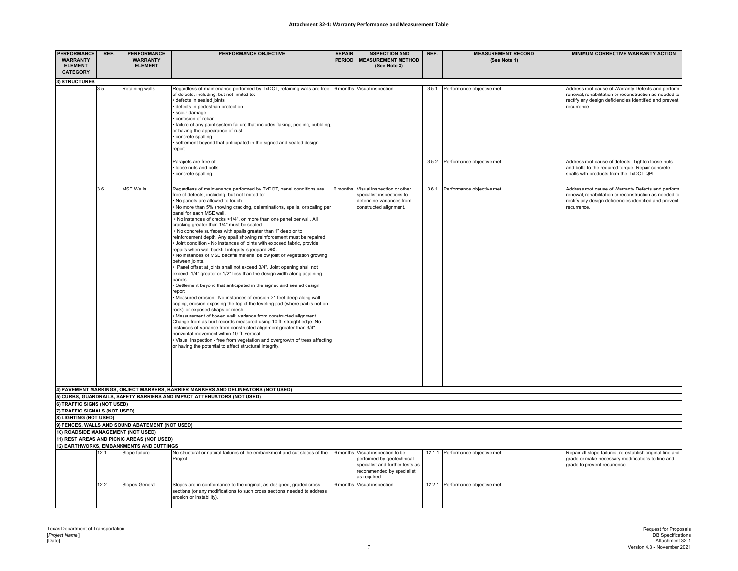### **Attachment 32‐1: Warranty Performance and Measurement Table**

| <b>PERFORMANCE</b><br><b>WARRANTY</b><br><b>ELEMENT</b><br><b>CATEGORY</b> | REF. | <b>PERFORMANCE</b><br><b>WARRANTY</b><br><b>ELEMENT</b>   | PERFORMANCE OBJECTIVE                                                                                                                                                                                                                                                                                                                                                                                                                                                                                                                                                                                                                                                                                                                                                                                                                                                                                                                                                                                                                                                                                                                                                                                                                                                                                                                                                                                                                                                                                                                                                                                       | <b>REPAIR</b><br><b>PERIOD</b> | <b>INSPECTION AND</b><br><b>MEASUREMENT METHOD</b><br>(See Note 3)                                                                            | REF.  | <b>MEASUREMENT RECORD</b><br>(See Note 1) | MINIMUM CORRECTIVE WARRANTY ACTION                                                                                                                                                    |
|----------------------------------------------------------------------------|------|-----------------------------------------------------------|-------------------------------------------------------------------------------------------------------------------------------------------------------------------------------------------------------------------------------------------------------------------------------------------------------------------------------------------------------------------------------------------------------------------------------------------------------------------------------------------------------------------------------------------------------------------------------------------------------------------------------------------------------------------------------------------------------------------------------------------------------------------------------------------------------------------------------------------------------------------------------------------------------------------------------------------------------------------------------------------------------------------------------------------------------------------------------------------------------------------------------------------------------------------------------------------------------------------------------------------------------------------------------------------------------------------------------------------------------------------------------------------------------------------------------------------------------------------------------------------------------------------------------------------------------------------------------------------------------------|--------------------------------|-----------------------------------------------------------------------------------------------------------------------------------------------|-------|-------------------------------------------|---------------------------------------------------------------------------------------------------------------------------------------------------------------------------------------|
| 3) STRUCTURES                                                              |      |                                                           |                                                                                                                                                                                                                                                                                                                                                                                                                                                                                                                                                                                                                                                                                                                                                                                                                                                                                                                                                                                                                                                                                                                                                                                                                                                                                                                                                                                                                                                                                                                                                                                                             |                                |                                                                                                                                               |       |                                           |                                                                                                                                                                                       |
|                                                                            | 3.5  | Retaining walls                                           | Regardless of maintenance performed by TxDOT, retaining walls are free<br>of defects, including, but not limited to:<br>defects in sealed ioints<br>defects in pedestrian protection<br>scour damage<br>corrosion of rebar<br>failure of any paint system failure that includes flaking, peeling, bubbling<br>or having the appearance of rust<br>concrete spalling<br>settlement beyond that anticipated in the signed and sealed design<br>report                                                                                                                                                                                                                                                                                                                                                                                                                                                                                                                                                                                                                                                                                                                                                                                                                                                                                                                                                                                                                                                                                                                                                         |                                | 6 months Visual inspection                                                                                                                    | 3.5.1 | Performance objective met.                | Address root cause of Warranty Defects and perform<br>renewal, rehabilitation or reconstruction as needed to<br>rectify any design deficiencies identified and prevent<br>recurrence. |
|                                                                            |      |                                                           | Parapets are free of:<br>loose nuts and bolts<br>concrete spalling                                                                                                                                                                                                                                                                                                                                                                                                                                                                                                                                                                                                                                                                                                                                                                                                                                                                                                                                                                                                                                                                                                                                                                                                                                                                                                                                                                                                                                                                                                                                          |                                |                                                                                                                                               | 3.5.2 | Performance objective met.                | Address root cause of defects. Tighten loose nuts<br>and bolts to the required torque. Repair concrete<br>spalls with products from the TxDOT QPL                                     |
|                                                                            | 3.6  | <b>MSE Walls</b>                                          | Regardless of maintenance performed by TxDOT, panel conditions are<br>free of defects, including, but not limited to:<br>No panels are allowed to touch<br>No more than 5% showing cracking, delaminations, spalls, or scaling per<br>panel for each MSE wall.<br>No instances of cracks >1/4", on more than one panel per wall. All<br>cracking greater than 1/4" must be sealed<br>No concrete surfaces with spalls greater than 1" deep or to<br>reinforcement depth. Any spall showing reinforcement must be repaired<br>Joint condition - No instances of joints with exposed fabric, provide<br>repairs when wall backfill integrity is jeopardized.<br>. No instances of MSE backfill material below joint or vegetation growing<br>between ioints.<br>Panel offset at joints shall not exceed 3/4". Joint opening shall not<br>exceed 1/4" greater or 1/2" less than the design width along adjoining<br>panels.<br>Settlement beyond that anticipated in the signed and sealed design<br>report<br>Measured erosion - No instances of erosion >1 feet deep along wall<br>coping, erosion exposing the top of the leveling pad (where pad is not on<br>rock), or exposed straps or mesh.<br>· Measurement of bowed wall: variance from constructed alignment.<br>Change from as built records measured using 10-ft. straight edge. No<br>instances of variance from constructed alignment greater than 3/4"<br>horizontal movement within 10-ft. vertical.<br>Visual Inspection - free from vegetation and overgrowth of trees affecting<br>or having the potential to affect structural integrity. |                                | 6 months Visual inspection or other<br>specialist inspections to<br>determine variances from<br>constructed alignment.                        |       | 3.6.1 Performance objective met.          | Address root cause of Warranty Defects and perform<br>enewal, rehabilitation or reconstruction as needed to<br>rectify any design deficiencies identified and prevent<br>recurrence.  |
|                                                                            |      |                                                           | 4) PAVEMENT MARKINGS, OBJECT MARKERS, BARRIER MARKERS AND DELINEATORS (NOT USED)                                                                                                                                                                                                                                                                                                                                                                                                                                                                                                                                                                                                                                                                                                                                                                                                                                                                                                                                                                                                                                                                                                                                                                                                                                                                                                                                                                                                                                                                                                                            |                                |                                                                                                                                               |       |                                           |                                                                                                                                                                                       |
|                                                                            |      |                                                           | 5) CURBS, GUARDRAILS, SAFETY BARRIERS AND IMPACT ATTENUATORS (NOT USED)                                                                                                                                                                                                                                                                                                                                                                                                                                                                                                                                                                                                                                                                                                                                                                                                                                                                                                                                                                                                                                                                                                                                                                                                                                                                                                                                                                                                                                                                                                                                     |                                |                                                                                                                                               |       |                                           |                                                                                                                                                                                       |
| 6) TRAFFIC SIGNS (NOT USED)<br>7) TRAFFIC SIGNALS (NOT USED)               |      |                                                           |                                                                                                                                                                                                                                                                                                                                                                                                                                                                                                                                                                                                                                                                                                                                                                                                                                                                                                                                                                                                                                                                                                                                                                                                                                                                                                                                                                                                                                                                                                                                                                                                             |                                |                                                                                                                                               |       |                                           |                                                                                                                                                                                       |
| 8) LIGHTING (NOT USED)                                                     |      |                                                           |                                                                                                                                                                                                                                                                                                                                                                                                                                                                                                                                                                                                                                                                                                                                                                                                                                                                                                                                                                                                                                                                                                                                                                                                                                                                                                                                                                                                                                                                                                                                                                                                             |                                |                                                                                                                                               |       |                                           |                                                                                                                                                                                       |
|                                                                            |      | 9) FENCES, WALLS AND SOUND ABATEMENT (NOT USED)           |                                                                                                                                                                                                                                                                                                                                                                                                                                                                                                                                                                                                                                                                                                                                                                                                                                                                                                                                                                                                                                                                                                                                                                                                                                                                                                                                                                                                                                                                                                                                                                                                             |                                |                                                                                                                                               |       |                                           |                                                                                                                                                                                       |
| 10) ROADSIDE MANAGEMENT (NOT USED)                                         |      |                                                           |                                                                                                                                                                                                                                                                                                                                                                                                                                                                                                                                                                                                                                                                                                                                                                                                                                                                                                                                                                                                                                                                                                                                                                                                                                                                                                                                                                                                                                                                                                                                                                                                             |                                |                                                                                                                                               |       |                                           |                                                                                                                                                                                       |
|                                                                            |      | 11) REST AREAS AND PICNIC AREAS (NOT USED)                |                                                                                                                                                                                                                                                                                                                                                                                                                                                                                                                                                                                                                                                                                                                                                                                                                                                                                                                                                                                                                                                                                                                                                                                                                                                                                                                                                                                                                                                                                                                                                                                                             |                                |                                                                                                                                               |       |                                           |                                                                                                                                                                                       |
|                                                                            | 2.1  | 12) EARTHWORKS, EMBANKMENTS AND CUTTINGS<br>Slope failure | No structural or natural failures of the embankment and cut slopes of the<br>Project.                                                                                                                                                                                                                                                                                                                                                                                                                                                                                                                                                                                                                                                                                                                                                                                                                                                                                                                                                                                                                                                                                                                                                                                                                                                                                                                                                                                                                                                                                                                       |                                | 6 months Visual inspection to be<br>performed by geotechnical<br>specialist and further tests as<br>recommended by specialist<br>as required. |       | 12.1.1 Performance objective met.         | Repair all slope failures, re-establish original line and<br>grade or make necessary modifications to line and<br>grade to prevent recurrence.                                        |
|                                                                            | 12.2 | <b>Slopes General</b>                                     | Slopes are in conformance to the original, as-designed, graded cross-<br>sections (or any modifications to such cross sections needed to address<br>erosion or instability).                                                                                                                                                                                                                                                                                                                                                                                                                                                                                                                                                                                                                                                                                                                                                                                                                                                                                                                                                                                                                                                                                                                                                                                                                                                                                                                                                                                                                                |                                | 6 months Visual inspection                                                                                                                    |       | 12.2.1 Performance objective met.         |                                                                                                                                                                                       |